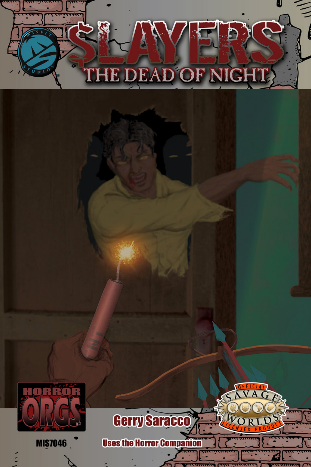

U

 $\leq$ 



**MIS7046** 



 $W_{\mathbf{O}}$ 

 $D$ 

**Uses the Horror Companio** 

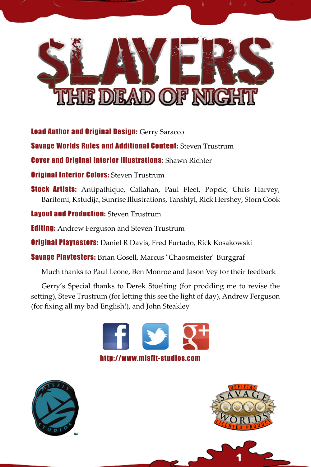

Lead Author and Original Design: Gerry Saracco

**Savage Worlds Rules and Additional Content: Steven Trustrum** 

Cover and Original Interior Illustrations: Shawn Richter

**Original Interior Colors: Steven Trustrum** 

Stock Artists: Antipathique, Callahan, Paul Fleet, Popcic, Chris Harvey, Baritomi, Kstudija, Sunrise Illustrations, Tanshtyl, Rick Hershey, Storn Cook

**Layout and Production: Steven Trustrum** 

**Editing:** Andrew Ferguson and Steven Trustrum

**Original Playtesters:** Daniel R Davis, Fred Furtado, Rick Kosakowski

Savage Playtesters: Brian Gosell, Marcus "Chaosmeister" Burggraf

Much thanks to Paul Leone, Ben Monroe and Jason Vey for their feedback

Gerry's Special thanks to Derek Stoelting (for prodding me to revise the setting), Steve Trustrum (for letting this see the light of day), Andrew Ferguson (for fixing all my bad English!), and John Steakley







1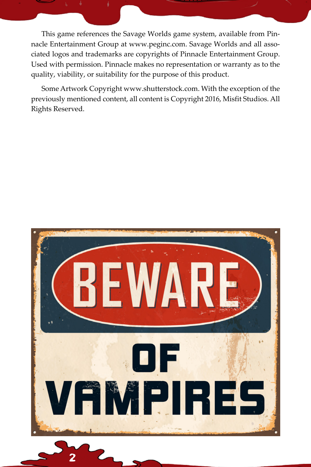This game references the Savage Worlds game system, available from Pinnacle Entertainment Group at www.peginc.com. Savage Worlds and all associated logos and trademarks are copyrights of Pinnacle Entertainment Group. Used with permission. Pinnacle makes no representation or warranty as to the quality, viability, or suitability for the purpose of this product.

Some Artwork Copyright www.shutterstock.com. With the exception of the previously mentioned content, all content is Copyright 2016, Misfit Studios. All Rights Reserved.



2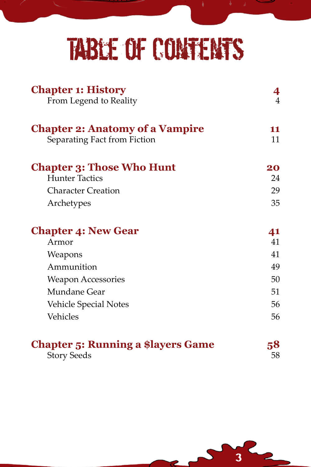## Table of Contents

| <b>Chapter 1: History</b><br>From Legend to Reality                    | 4<br>$\overline{4}$ |
|------------------------------------------------------------------------|---------------------|
| <b>Chapter 2: Anatomy of a Vampire</b><br>Separating Fact from Fiction | 11<br>11            |
| <b>Chapter 3: Those Who Hunt</b><br><b>Hunter Tactics</b>              | 20<br>24            |
| <b>Character Creation</b>                                              | 29                  |
| Archetypes                                                             | 35                  |
| <b>Chapter 4: New Gear</b>                                             | 41                  |
| Armor                                                                  | 41                  |
| Weapons                                                                | 41                  |
| Ammunition                                                             | 49                  |
| <b>Weapon Accessories</b>                                              | 50                  |
| Mundane Gear                                                           | 51                  |
| <b>Vehicle Special Notes</b>                                           | 56                  |
| <b>Vehicles</b>                                                        | 56                  |
| <b>Chapter 5: Running a \$layers Game</b>                              | 58                  |
| <b>Story Seeds</b>                                                     | 58                  |

3